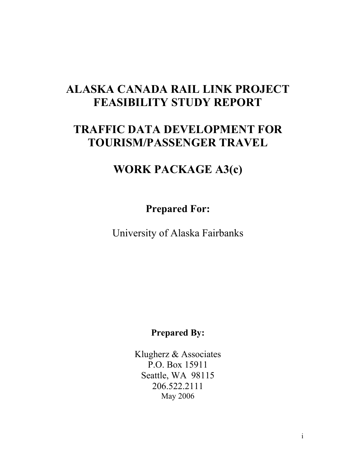# **ALASKA CANADA RAIL LINK PROJECT FEASIBILITY STUDY REPORT**

# **TRAFFIC DATA DEVELOPMENT FOR TOURISM/PASSENGER TRAVEL**

# **WORK PACKAGE A3(c)**

**Prepared For:** 

University of Alaska Fairbanks

**Prepared By:** 

Klugherz & Associates P.O. Box 15911 Seattle, WA 98115 206.522.2111 May 2006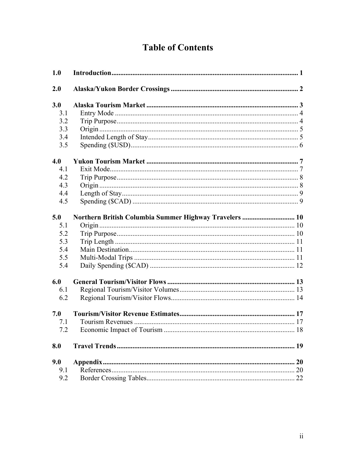# **Table of Contents**

| 1.0 |                                                        |  |
|-----|--------------------------------------------------------|--|
| 2.0 |                                                        |  |
| 3.0 |                                                        |  |
| 3.1 |                                                        |  |
| 3.2 |                                                        |  |
| 3.3 |                                                        |  |
| 3.4 |                                                        |  |
| 3.5 |                                                        |  |
| 4.0 |                                                        |  |
| 4.1 |                                                        |  |
| 4.2 |                                                        |  |
| 4.3 |                                                        |  |
| 4.4 |                                                        |  |
| 4.5 |                                                        |  |
| 5.0 | Northern British Columbia Summer Highway Travelers  10 |  |
| 5.1 |                                                        |  |
| 5.2 |                                                        |  |
| 5.3 |                                                        |  |
| 5.4 |                                                        |  |
| 5.5 |                                                        |  |
| 5.4 |                                                        |  |
| 6.0 |                                                        |  |
| 6.1 |                                                        |  |
| 6.2 |                                                        |  |
| 7.0 |                                                        |  |
| 7.1 |                                                        |  |
| 7.2 |                                                        |  |
| 8.0 |                                                        |  |
| 9.0 |                                                        |  |
| 9.1 |                                                        |  |
| 9.2 |                                                        |  |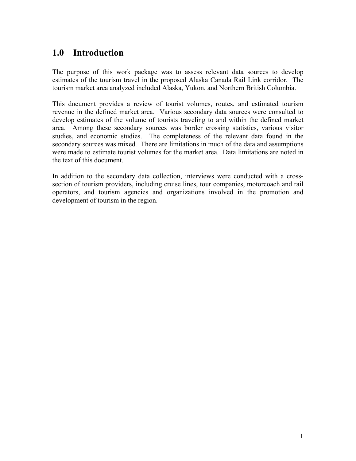## **1.0 Introduction**

The purpose of this work package was to assess relevant data sources to develop estimates of the tourism travel in the proposed Alaska Canada Rail Link corridor. The tourism market area analyzed included Alaska, Yukon, and Northern British Columbia.

This document provides a review of tourist volumes, routes, and estimated tourism revenue in the defined market area. Various secondary data sources were consulted to develop estimates of the volume of tourists traveling to and within the defined market area. Among these secondary sources was border crossing statistics, various visitor studies, and economic studies. The completeness of the relevant data found in the secondary sources was mixed. There are limitations in much of the data and assumptions were made to estimate tourist volumes for the market area. Data limitations are noted in the text of this document.

In addition to the secondary data collection, interviews were conducted with a crosssection of tourism providers, including cruise lines, tour companies, motorcoach and rail operators, and tourism agencies and organizations involved in the promotion and development of tourism in the region.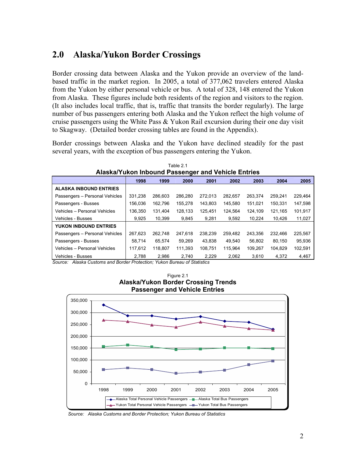## **2.0 Alaska/Yukon Border Crossings**

Border crossing data between Alaska and the Yukon provide an overview of the landbased traffic in the market region. In 2005, a total of 377,062 travelers entered Alaska from the Yukon by either personal vehicle or bus. A total of 328, 148 entered the Yukon from Alaska. These figures include both residents of the region and visitors to the region. (It also includes local traffic, that is, traffic that transits the border regularly). The large number of bus passengers entering both Alaska and the Yukon reflect the high volume of cruise passengers using the White Pass & Yukon Rail excursion during their one day visit to Skagway. (Detailed border crossing tables are found in the Appendix).

Border crossings between Alaska and the Yukon have declined steadily for the past several years, with the exception of bus passengers entering the Yukon.

| Alaska/Yukon Inbound Passenger and Vehicle Entries |         |         |         |         |         |         |         |         |
|----------------------------------------------------|---------|---------|---------|---------|---------|---------|---------|---------|
|                                                    | 1998    | 1999    | 2000    | 2001    | 2002    | 2003    | 2004    | 2005    |
| <b>ALASKA INBOUND ENTRIES</b>                      |         |         |         |         |         |         |         |         |
| Passengers - Personal Vehicles                     | 331.238 | 286.603 | 286.280 | 272.013 | 282.657 | 263.374 | 259.241 | 229.464 |
| Passengers - Busses                                | 156,036 | 162,796 | 155,278 | 143.803 | 145,580 | 151,021 | 150.331 | 147,598 |
| Vehicles - Personal Vehicles                       | 136.350 | 131.404 | 128.133 | 125.451 | 124.564 | 124.109 | 121.165 | 101,917 |
| Vehicles - Busses                                  | 9.925   | 10.399  | 9.845   | 9.281   | 9.592   | 10.224  | 10.426  | 11,027  |
| YUKON INBOUND ENTRIES                              |         |         |         |         |         |         |         |         |
| Passengers - Personal Vehicles                     | 267,623 | 262.748 | 247.618 | 238.239 | 259.482 | 243,356 | 232.466 | 225,567 |
| Passengers - Busses                                | 58.714  | 65,574  | 59,269  | 43.838  | 49.540  | 56,802  | 80.150  | 95,936  |
| Vehicles - Personal Vehicles                       | 117.612 | 118.807 | 111.393 | 108.751 | 115.964 | 109,267 | 104.829 | 102,591 |
| Vehicles - Busses                                  | 2.788   | 2,986   | 2,740   | 2.229   | 2,062   | 3,610   | 4.372   | 4,467   |

Table 2.1 **Alaska/Yukon Inbound Passenger and Vehicle Entries** 

*Source: Alaska Customs and Border Protection; Yukon Bureau of Statistics* 



Figure 2.1 **Alaska/Yukon Border Crossing Trends** 

*Source: Alaska Customs and Border Protection; Yukon Bureau of Statistics*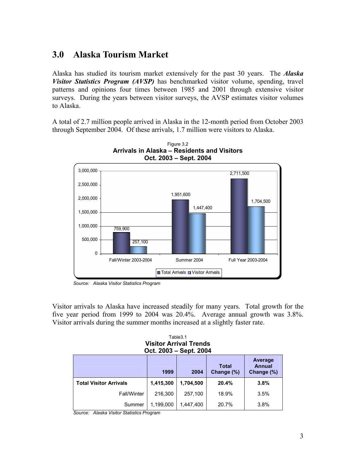## **3.0 Alaska Tourism Market**

Alaska has studied its tourism market extensively for the past 30 years. The *Alaska Visitor Statistics Program (AVSP)* has benchmarked visitor volume, spending, travel patterns and opinions four times between 1985 and 2001 through extensive visitor surveys. During the years between visitor surveys, the AVSP estimates visitor volumes to Alaska.

A total of 2.7 million people arrived in Alaska in the 12-month period from October 2003 through September 2004. Of these arrivals, 1.7 million were visitors to Alaska.





Visitor arrivals to Alaska have increased steadily for many years. Total growth for the five year period from 1999 to 2004 was 20.4%. Average annual growth was 3.8%. Visitor arrivals during the summer months increased at a slightly faster rate.

Table3.1 **Visitor Arrival Trends Oct. 2003 – Sept. 2004** 

|                               |           | .         |                            |                                        |
|-------------------------------|-----------|-----------|----------------------------|----------------------------------------|
|                               | 1999      | 2004      | <b>Total</b><br>Change (%) | Average<br><b>Annual</b><br>Change (%) |
| <b>Total Visitor Arrivals</b> | 1,415,300 | 1,704,500 | 20.4%                      | 3.8%                                   |
| <b>Fall/Winter</b>            | 216,300   | 257,100   | 18.9%                      | 3.5%                                   |
| Summer                        | 1,199,000 | 1,447,400 | 20.7%                      | 3.8%                                   |

*Source: Alaska Visitor Statistics Program* 

*Source: Alaska Visitor Statistics Program*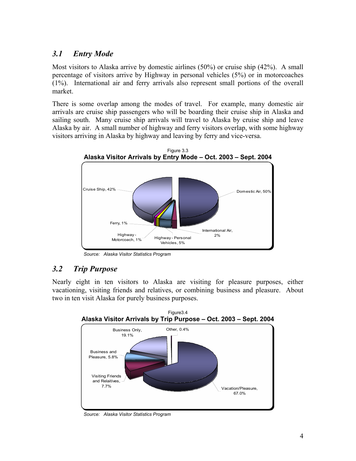### *3.1 Entry Mode*

Most visitors to Alaska arrive by domestic airlines (50%) or cruise ship (42%). A small percentage of visitors arrive by Highway in personal vehicles (5%) or in motorcoaches (1%). International air and ferry arrivals also represent small portions of the overall market.

There is some overlap among the modes of travel. For example, many domestic air arrivals are cruise ship passengers who will be boarding their cruise ship in Alaska and sailing south. Many cruise ship arrivals will travel to Alaska by cruise ship and leave Alaska by air. A small number of highway and ferry visitors overlap, with some highway visitors arriving in Alaska by highway and leaving by ferry and vice-versa.



*Source: Alaska Visitor Statistics Program* 

#### *3.2 Trip Purpose*

Nearly eight in ten visitors to Alaska are visiting for pleasure purposes, either vacationing, visiting friends and relatives, or combining business and pleasure. About two in ten visit Alaska for purely business purposes.



*Source: Alaska Visitor Statistics Program*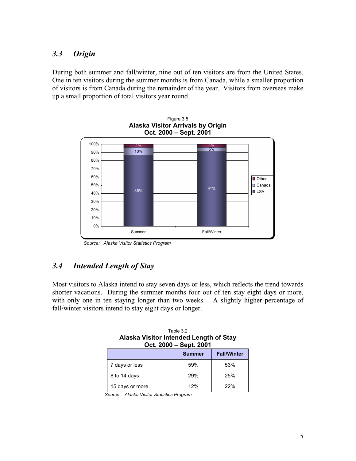### *3.3 Origin*

During both summer and fall/winter, nine out of ten visitors are from the United States. One in ten visitors during the summer months is from Canada, while a smaller proportion of visitors is from Canada during the remainder of the year. Visitors from overseas make up a small proportion of total visitors year round.





## *3.4 Intended Length of Stay*

Most visitors to Alaska intend to stay seven days or less, which reflects the trend towards shorter vacations. During the summer months four out of ten stay eight days or more, with only one in ten staying longer than two weeks. A slightly higher percentage of fall/winter visitors intend to stay eight days or longer.

| Table 3.2                              |
|----------------------------------------|
| Alaska Visitor Intended Length of Stay |
| Oct. 2000 - Sept. 2001                 |
|                                        |

|                 | <b>Summer</b> | <b>Fall/Winter</b> |
|-----------------|---------------|--------------------|
| 7 days or less  | 59%           | 53%                |
| 8 to 14 days    | 29%           | 25%                |
| 15 days or more | 12%           | 22%                |

*Source: Alaska Visitor Statistics Program*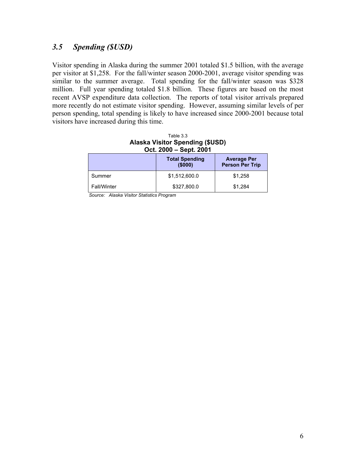#### *3.5 Spending (\$USD)*

Visitor spending in Alaska during the summer 2001 totaled \$1.5 billion, with the average per visitor at \$1,258. For the fall/winter season 2000-2001, average visitor spending was similar to the summer average. Total spending for the fall/winter season was \$328 million. Full year spending totaled \$1.8 billion. These figures are based on the most recent AVSP expenditure data collection. The reports of total visitor arrivals prepared more recently do not estimate visitor spending. However, assuming similar levels of per person spending, total spending is likely to have increased since 2000-2001 because total visitors have increased during this time.

| Table 3.3                              |
|----------------------------------------|
| <b>Alaska Visitor Spending (\$USD)</b> |
| Oct. 2000 – Sept. 2001                 |

|                    | <b>Total Spending</b><br>(\$000) | <b>Average Per</b><br><b>Person Per Trip</b> |
|--------------------|----------------------------------|----------------------------------------------|
| Summer             | \$1,512,600.0                    | \$1,258                                      |
| <b>Fall/Winter</b> | \$327,800.0                      | \$1,284                                      |

*Source: Alaska Visitor Statistics Program*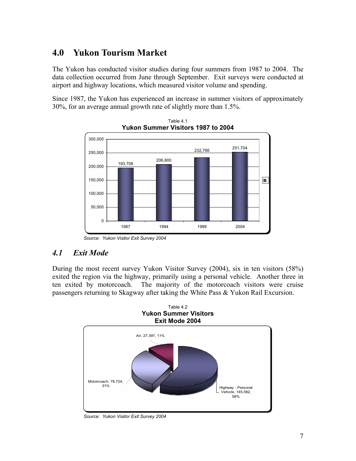## **4.0 Yukon Tourism Market**

The Yukon has conducted visitor studies during four summers from 1987 to 2004. The data collection occurred from June through September. Exit surveys were conducted at airport and highway locations, which measured visitor volume and spending.

Since 1987, the Yukon has experienced an increase in summer visitors of approximately 30%, for an average annual growth rate of slightly more than 1.5%.



Table 4.1 **Yukon Summer Visitors 1987 to 2004** 

*Source: Yukon Visitor Exit Survey 2004* 

## *4.1 Exit Mode*

During the most recent survey Yukon Visitor Survey (2004), six in ten visitors (58%) exited the region via the highway, primarily using a personal vehicle. Another three in ten exited by motorcoach. The majority of the motorcoach visitors were cruise passengers returning to Skagway after taking the White Pass & Yukon Rail Excursion.



*Source: Yukon Visitor Exit Survey 2004*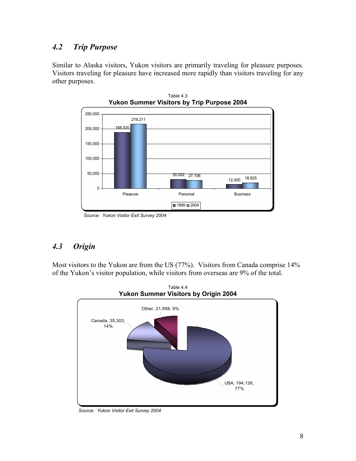### *4.2 Trip Purpose*

Similar to Alaska visitors, Yukon visitors are primarily traveling for pleasure purposes. Visitors traveling for pleasure have increased more rapidly than visitors traveling for any other purposes.



Table 4.3

## *4.3 Origin*

Most visitors to the Yukon are from the US (77%). Visitors from Canada comprise 14% of the Yukon's visitor population, while visitors from overseas are 9% of the total.



*Source: Yukon Visitor Exit Survey 2004* 

*Source: Yukon Visitor Exit Survey 2004*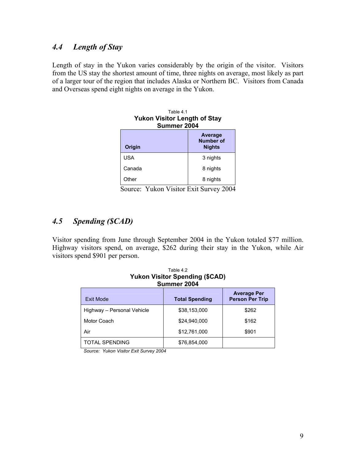## *4.4 Length of Stay*

Length of stay in the Yukon varies considerably by the origin of the visitor. Visitors from the US stay the shortest amount of time, three nights on average, most likely as part of a larger tour of the region that includes Alaska or Northern BC. Visitors from Canada and Overseas spend eight nights on average in the Yukon.

| Table 41<br><b>Yukon Visitor Length of Stay</b><br>Summer 2004 |                                       |  |  |  |  |
|----------------------------------------------------------------|---------------------------------------|--|--|--|--|
| Origin                                                         | Average<br>Number of<br><b>Nights</b> |  |  |  |  |
| USA                                                            | 3 nights                              |  |  |  |  |
| Canada                                                         | 8 nights                              |  |  |  |  |
| Other                                                          | 8 nights                              |  |  |  |  |

Source: Yukon Visitor Exit Survey 2004

### *4.5 Spending (\$CAD)*

Visitor spending from June through September 2004 in the Yukon totaled \$77 million. Highway visitors spend, on average, \$262 during their stay in the Yukon, while Air visitors spend \$901 per person.

Table 4.2

| <b>Yukon Visitor Spending (\$CAD)</b><br>Summer 2004 |                       |                                              |  |  |  |
|------------------------------------------------------|-----------------------|----------------------------------------------|--|--|--|
| Exit Mode                                            | <b>Total Spending</b> | <b>Average Per</b><br><b>Person Per Trip</b> |  |  |  |
| Highway – Personal Vehicle                           | \$38,153,000          | \$262                                        |  |  |  |
| Motor Coach                                          | \$24.940.000          | \$162                                        |  |  |  |
| Air                                                  | \$12,761,000          | \$901                                        |  |  |  |
| TOTAL SPENDING                                       | \$76,854,000          |                                              |  |  |  |

*Source: Yukon Visitor Exit Survey 2004*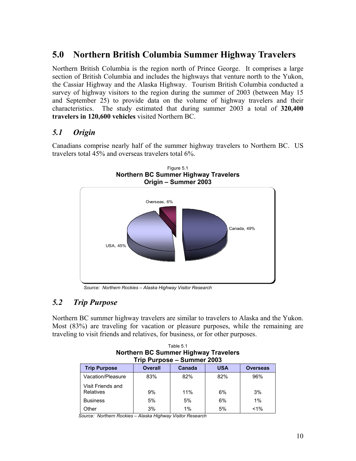# **5.0 Northern British Columbia Summer Highway Travelers**

Northern British Columbia is the region north of Prince George. It comprises a large section of British Columbia and includes the highways that venture north to the Yukon, the Cassiar Highway and the Alaska Highway. Tourism British Columbia conducted a survey of highway visitors to the region during the summer of 2003 (between May 15 and September 25) to provide data on the volume of highway travelers and their characteristics. The study estimated that during summer 2003 a total of **320,400 travelers in 120,600 vehicles** visited Northern BC.

### *5.1 Origin*

Canadians comprise nearly half of the summer highway travelers to Northern BC. US travelers total 45% and overseas travelers total 6%.



*Source: Northern Rockies – Alaska Highway Visitor Research* 

## *5.2 Trip Purpose*

Northern BC summer highway travelers are similar to travelers to Alaska and the Yukon. Most (83%) are traveling for vacation or pleasure purposes, while the remaining are traveling to visit friends and relatives, for business, or for other purposes.

Table 5.1

| <b>Northern BC Summer Highway Travelers</b><br>Trip Purpose - Summer 2003 |                |        |            |                 |  |  |
|---------------------------------------------------------------------------|----------------|--------|------------|-----------------|--|--|
| <b>Trip Purpose</b>                                                       | <b>Overall</b> | Canada | <b>USA</b> | <b>Overseas</b> |  |  |
| Vacation/Pleasure                                                         | 83%            | 82%    | 82%        | 96%             |  |  |
| Visit Friends and<br>Relatives                                            | 9%             | 11%    | 6%         | 3%              |  |  |
| <b>Business</b>                                                           | 5%             | 5%     | 6%         | 1%              |  |  |
| Other                                                                     | 3%             | $1\%$  | 5%         | $< 1\%$         |  |  |

*Source: Northern Rockies – Alaska Highway Visitor Research*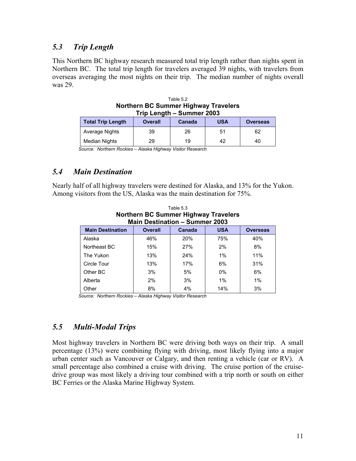#### *5.3 Trip Length*

This Northern BC highway research measured total trip length rather than nights spent in Northern BC. The total trip length for travelers averaged 39 nights, with travelers from overseas averaging the most nights on their trip. The median number of nights overall was 29.

| Trip Length - Summer 2003 |                |        |            |                 |  |  |
|---------------------------|----------------|--------|------------|-----------------|--|--|
| Total Trip Length         | <b>Overall</b> | Canada | <b>USA</b> | <b>Overseas</b> |  |  |
| Average Nights            | 39             | 26     | 51         | 62              |  |  |
| <b>Median Nights</b>      | 29             | 19     | 42         | 40              |  |  |

| Table 5.2                                   |
|---------------------------------------------|
| <b>Northern BC Summer Highway Travelers</b> |
| Trin Langth - Summar 2003                   |

*Source: Northern Rockies – Alaska Highway Visitor Research* 

#### *5.4 Main Destination*

Nearly half of all highway travelers were destined for Alaska, and 13% for the Yukon. Among visitors from the US, Alaska was the main destination for 75%.

Table 5.3

| Tanic olo<br><b>Northern BC Summer Highway Travelers</b><br><b>Main Destination - Summer 2003</b> |     |            |       |     |  |
|---------------------------------------------------------------------------------------------------|-----|------------|-------|-----|--|
| <b>Overall</b><br><b>USA</b><br>Canada<br><b>Main Destination</b><br><b>Overseas</b>              |     |            |       |     |  |
| Alaska                                                                                            | 46% | <b>20%</b> | 75%   | 40% |  |
| Northeast BC                                                                                      | 15% | 27%        | 2%    | 8%  |  |
| The Yukon                                                                                         | 13% | 24%        | 1%    | 11% |  |
| Circle Tour                                                                                       | 13% | 17%        | 6%    | 31% |  |
| Other BC                                                                                          | 3%  | 5%         | $0\%$ | 6%  |  |
| Alberta                                                                                           | 2%  | 3%         | $1\%$ | 1%  |  |
| Other                                                                                             | 8%  | 4%         | 14%   | 3%  |  |

*Source: Northern Rockies – Alaska Highway Visitor Research* 

#### *5.5 Multi-Modal Trips*

Most highway travelers in Northern BC were driving both ways on their trip. A small percentage (13%) were combining flying with driving, most likely flying into a major urban center such as Vancouver or Calgary, and then renting a vehicle (car or RV). A small percentage also combined a cruise with driving. The cruise portion of the cruisedrive group was most likely a driving tour combined with a trip north or south on either BC Ferries or the Alaska Marine Highway System.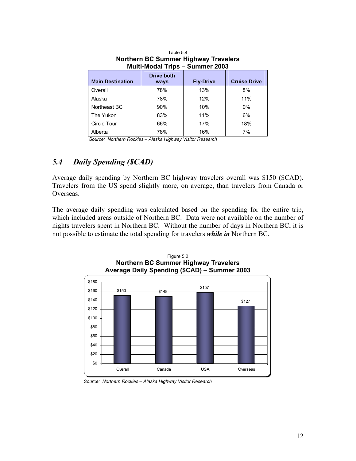| Northern BC Summer Highway Travelers<br><b>Multi-Modal Trips - Summer 2003</b> |                           |                  |                     |  |
|--------------------------------------------------------------------------------|---------------------------|------------------|---------------------|--|
| <b>Main Destination</b>                                                        | <b>Drive both</b><br>ways | <b>Fly-Drive</b> | <b>Cruise Drive</b> |  |
| Overall                                                                        | 78%                       | 13%              | 8%                  |  |
| Alaska                                                                         | 78%                       | 12%              | 11%                 |  |
| Northeast BC                                                                   | 90%                       | 10%              | $0\%$               |  |
| The Yukon                                                                      | 83%                       | 11%              | 6%                  |  |
| Circle Tour                                                                    | 66%                       | 17%              | 18%                 |  |
| Alberta                                                                        | 78%                       | 16%              | 7%                  |  |

Table 5.4 **Northern BC Summer Highway Travelers** 

*Source: Northern Rockies – Alaska Highway Visitor Research* 

### *5.4 Daily Spending (\$CAD)*

Average daily spending by Northern BC highway travelers overall was \$150 (\$CAD). Travelers from the US spend slightly more, on average, than travelers from Canada or Overseas.

The average daily spending was calculated based on the spending for the entire trip, which included areas outside of Northern BC. Data were not available on the number of nights travelers spent in Northern BC. Without the number of days in Northern BC, it is not possible to estimate the total spending for travelers *while in* Northern BC.



Figure 5.2 **Northern BC Summer Highway Travelers** 

*Source: Northern Rockies – Alaska Highway Visitor Research*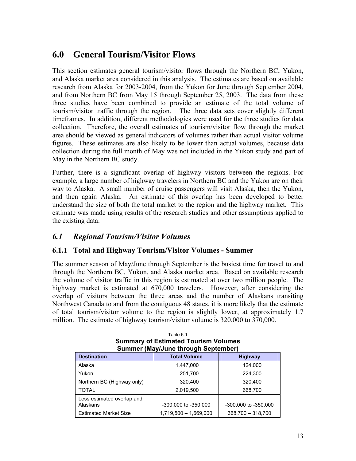# **6.0 General Tourism/Visitor Flows**

This section estimates general tourism/visitor flows through the Northern BC, Yukon, and Alaska market area considered in this analysis. The estimates are based on available research from Alaska for 2003-2004, from the Yukon for June through September 2004, and from Northern BC from May 15 through September 25, 2003. The data from these three studies have been combined to provide an estimate of the total volume of tourism/visitor traffic through the region. The three data sets cover slightly different timeframes. In addition, different methodologies were used for the three studies for data collection. Therefore, the overall estimates of tourism/visitor flow through the market area should be viewed as general indicators of volumes rather than actual visitor volume figures. These estimates are also likely to be lower than actual volumes, because data collection during the full month of May was not included in the Yukon study and part of May in the Northern BC study.

Further, there is a significant overlap of highway visitors between the regions. For example, a large number of highway travelers in Northern BC and the Yukon are on their way to Alaska. A small number of cruise passengers will visit Alaska, then the Yukon, and then again Alaska. An estimate of this overlap has been developed to better understand the size of both the total market to the region and the highway market. This estimate was made using results of the research studies and other assumptions applied to the existing data.

#### *6.1 Regional Tourism/Visitor Volumes*

#### **6.1.1 Total and Highway Tourism/Visitor Volumes - Summer**

The summer season of May/June through September is the busiest time for travel to and through the Northern BC, Yukon, and Alaska market area. Based on available research the volume of visitor traffic in this region is estimated at over two million people. The highway market is estimated at 670,000 travelers. However, after considering the overlap of visitors between the three areas and the number of Alaskans transiting Northwest Canada to and from the contiguous 48 states, it is more likely that the estimate of total tourism/visitor volume to the region is slightly lower, at approximately 1.7 million. The estimate of highway tourism/visitor volume is 320,000 to 370,000.

| Summer (May/June through September)                         |                       |                      |  |  |
|-------------------------------------------------------------|-----------------------|----------------------|--|--|
| <b>Total Volume</b><br><b>Destination</b><br><b>Highway</b> |                       |                      |  |  |
| Alaska                                                      | 1,447,000             | 124,000              |  |  |
| Yukon                                                       | 251,700               | 224,300              |  |  |
| Northern BC (Highway only)                                  | 320,400               | 320,400              |  |  |
| <b>TOTAL</b>                                                | 2,019,500             | 668,700              |  |  |
| Less estimated overlap and<br>Alaskans                      | -300,000 to -350,000  | -300,000 to -350,000 |  |  |
| <b>Estimated Market Size</b>                                | 1,719,500 - 1,669,000 | 368,700 - 318,700    |  |  |

| Table 6.1                                   |
|---------------------------------------------|
| <b>Summary of Estimated Tourism Volumes</b> |
| <b>Summer (May/June through September)</b>  |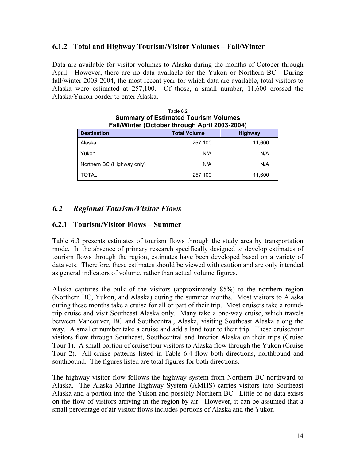#### **6.1.2 Total and Highway Tourism/Visitor Volumes – Fall/Winter**

Data are available for visitor volumes to Alaska during the months of October through April. However, there are no data available for the Yukon or Northern BC. During fall/winter 2003-2004, the most recent year for which data are available, total visitors to Alaska were estimated at 257,100. Of those, a small number, 11,600 crossed the Alaska/Yukon border to enter Alaska.

| Table 6.2<br><b>Summary of Estimated Tourism Volumes</b><br>Fall/Winter (October through April 2003-2004) |         |        |  |  |
|-----------------------------------------------------------------------------------------------------------|---------|--------|--|--|
| <b>Total Volume</b><br><b>Destination</b><br><b>Highway</b>                                               |         |        |  |  |
| Alaska                                                                                                    | 257,100 | 11,600 |  |  |
| Yukon                                                                                                     | N/A     | N/A    |  |  |
| Northern BC (Highway only)                                                                                | N/A     | N/A    |  |  |
| TOTAL                                                                                                     | 257,100 | 11,600 |  |  |

# *6.2 Regional Tourism/Visitor Flows*

#### **6.2.1 Tourism/Visitor Flows – Summer**

Table 6.3 presents estimates of tourism flows through the study area by transportation mode. In the absence of primary research specifically designed to develop estimates of tourism flows through the region, estimates have been developed based on a variety of data sets. Therefore, these estimates should be viewed with caution and are only intended as general indicators of volume, rather than actual volume figures.

Alaska captures the bulk of the visitors (approximately 85%) to the northern region (Northern BC, Yukon, and Alaska) during the summer months. Most visitors to Alaska during these months take a cruise for all or part of their trip. Most cruisers take a roundtrip cruise and visit Southeast Alaska only. Many take a one-way cruise, which travels between Vancouver, BC and Southcentral, Alaska, visiting Southeast Alaska along the way. A smaller number take a cruise and add a land tour to their trip. These cruise/tour visitors flow through Southeast, Southcentral and Interior Alaska on their trips (Cruise Tour 1). A small portion of cruise/tour visitors to Alaska flow through the Yukon (Cruise Tour 2). All cruise patterns listed in Table 6.4 flow both directions, northbound and southbound. The figures listed are total figures for both directions.

The highway visitor flow follows the highway system from Northern BC northward to Alaska. The Alaska Marine Highway System (AMHS) carries visitors into Southeast Alaska and a portion into the Yukon and possibly Northern BC. Little or no data exists on the flow of visitors arriving in the region by air. However, it can be assumed that a small percentage of air visitor flows includes portions of Alaska and the Yukon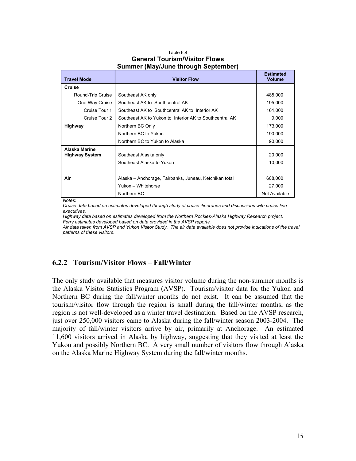| Table 6.4                            |  |  |  |
|--------------------------------------|--|--|--|
| <b>General Tourism/Visitor Flows</b> |  |  |  |
| Summer (May/June through September)  |  |  |  |

| <b>Travel Mode</b>                     | <b>Visitor Flow</b>                                     | <b>Estimated</b><br><b>Volume</b> |
|----------------------------------------|---------------------------------------------------------|-----------------------------------|
| Cruise                                 |                                                         |                                   |
| Round-Trip Cruise                      | Southeast AK only                                       | 485,000                           |
| One-Way Cruise                         | Southeast AK to Southcentral AK                         | 195,000                           |
| Cruise Tour 1                          | Southeast AK to Southcentral AK to Interior AK          | 161,000                           |
| Cruise Tour 2                          | Southeast AK to Yukon to Interior AK to Southcentral AK | 9,000                             |
| Highway                                | Northern BC Only                                        | 173,000                           |
|                                        | Northern BC to Yukon                                    | 190,000                           |
|                                        | Northern BC to Yukon to Alaska                          | 90,000                            |
| Alaska Marine<br><b>Highway System</b> | Southeast Alaska only<br>Southeast Alaska to Yukon      | 20,000<br>10,000                  |
| Air                                    | Alaska – Anchorage, Fairbanks, Juneau, Ketchikan total  | 608,000                           |
|                                        | Yukon - Whitehorse                                      | 27,000                            |
|                                        | Northern BC                                             | Not Available                     |

*Notes:* 

*Cruise data based on estimates developed through study of cruise itineraries and discussions with cruise line executives.* 

*Highway data based on estimates developed from the Northern Rockies-Alaska Highway Research project. Ferry estimates developed based on data provided in the AVSP reports.* 

*Air data taken from AVSP and Yukon Visitor Study. The air data available does not provide indications of the travel patterns of these visitors.* 

#### **6.2.2 Tourism/Visitor Flows – Fall/Winter**

The only study available that measures visitor volume during the non-summer months is the Alaska Visitor Statistics Program (AVSP). Tourism/visitor data for the Yukon and Northern BC during the fall/winter months do not exist. It can be assumed that the tourism/visitor flow through the region is small during the fall/winter months, as the region is not well-developed as a winter travel destination. Based on the AVSP research, just over 250,000 visitors came to Alaska during the fall/winter season 2003-2004. The majority of fall/winter visitors arrive by air, primarily at Anchorage. An estimated 11,600 visitors arrived in Alaska by highway, suggesting that they visited at least the Yukon and possibly Northern BC. A very small number of visitors flow through Alaska on the Alaska Marine Highway System during the fall/winter months.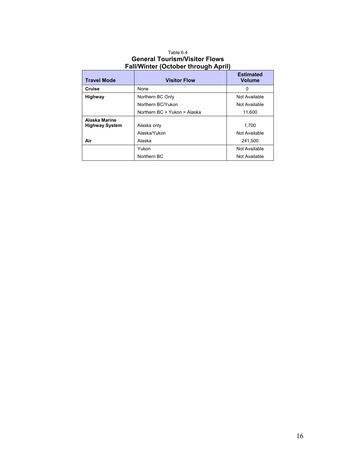#### Table 6.4 **General Tourism/Visitor Flows Fall/Winter (October through April)**

| <b>Travel Mode</b>                     | <b>Visitor Flow</b>          | <b>Estimated</b><br><b>Volume</b> |
|----------------------------------------|------------------------------|-----------------------------------|
| Cruise                                 | None                         | 0                                 |
| Highway                                | Northern BC Only             | Not Available                     |
|                                        | Northern BC/Yukon            | Not Available                     |
|                                        | Northern BC > Yukon > Alaska | 11,600                            |
| Alaska Marine<br><b>Highway System</b> | Alaska only                  | 1.700                             |
|                                        | Alaska/Yukon                 | Not Available                     |
| Air                                    | Alaska                       | 241,500                           |
|                                        | Yukon                        | Not Available                     |
|                                        | Northern BC                  | Not Available                     |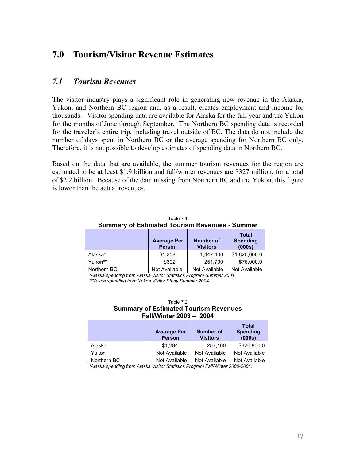## **7.0 Tourism/Visitor Revenue Estimates**

#### *7.1 Tourism Revenues*

The visitor industry plays a significant role in generating new revenue in the Alaska, Yukon, and Northern BC region and, as a result, creates employment and income for thousands. Visitor spending data are available for Alaska for the full year and the Yukon for the months of June through September. The Northern BC spending data is recorded for the traveler's entire trip, including travel outside of BC. The data do not include the number of days spent in Northern BC or the average spending for Northern BC only. Therefore, it is not possible to develop estimates of spending data in Northern BC.

Based on the data that are available, the summer tourism revenues for the region are estimated to be at least \$1.9 billion and fall/winter revenues are \$327 million, for a total of \$2.2 billion. Because of the data missing from Northern BC and the Yukon, this figure is lower than the actual revenues.

|                                                       | Table 7 1 |  |  |  |
|-------------------------------------------------------|-----------|--|--|--|
| <b>Summary of Estimated Tourism Revenues - Summer</b> |           |  |  |  |
|                                                       |           |  |  |  |

|             | <b>Average Per</b><br><b>Person</b> | <b>Number of</b><br><b>Visitors</b> | <b>Total</b><br><b>Spending</b><br>(000s) |
|-------------|-------------------------------------|-------------------------------------|-------------------------------------------|
| Alaska*     | \$1,258                             | 1,447,400                           | \$1,820,000.0                             |
| Yukon**     | \$302                               | 251.700                             | \$76,000.0                                |
| Northern BC | Not Available                       | Not Available                       | Not Available                             |

*\*Alaska spending from Alaska Visitor Statistics Program Summer 2001.* 

*\*\*Yukon spending from Yukon Visitor Study Summer 2004.* 

| Table 7.2                                    |  |  |  |
|----------------------------------------------|--|--|--|
| <b>Summary of Estimated Tourism Revenues</b> |  |  |  |
| Fall/Winter 2003 - 2004                      |  |  |  |

|             | <b>Average Per</b><br><b>Person</b> | <b>Number of</b><br><b>Visitors</b> | <b>Total</b><br><b>Spending</b><br>(000s) |
|-------------|-------------------------------------|-------------------------------------|-------------------------------------------|
| Alaska      | \$1.284                             | 257,100                             | \$326,800.0                               |
| Yukon       | Not Available                       | Not Available                       | Not Available                             |
| Northern BC | Not Available                       | Not Available                       | Not Available                             |

*\*Alaska spending from Alaska Visitor Statistics Program Fall/Winter 2000-2001.*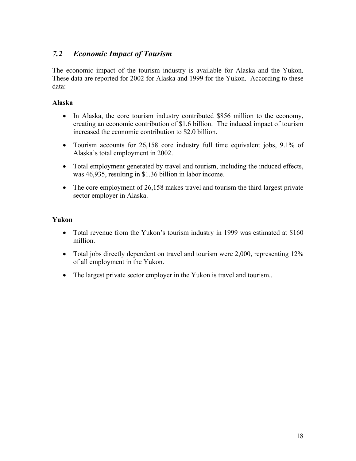## *7.2 Economic Impact of Tourism*

The economic impact of the tourism industry is available for Alaska and the Yukon. These data are reported for 2002 for Alaska and 1999 for the Yukon. According to these data:

#### **Alaska**

- In Alaska, the core tourism industry contributed \$856 million to the economy, creating an economic contribution of \$1.6 billion. The induced impact of tourism increased the economic contribution to \$2.0 billion.
- Tourism accounts for 26,158 core industry full time equivalent jobs, 9.1% of Alaska's total employment in 2002.
- Total employment generated by travel and tourism, including the induced effects, was 46,935, resulting in \$1.36 billion in labor income.
- The core employment of 26,158 makes travel and tourism the third largest private sector employer in Alaska.

#### **Yukon**

- Total revenue from the Yukon's tourism industry in 1999 was estimated at \$160 million.
- Total jobs directly dependent on travel and tourism were 2,000, representing 12% of all employment in the Yukon.
- The largest private sector employer in the Yukon is travel and tourism..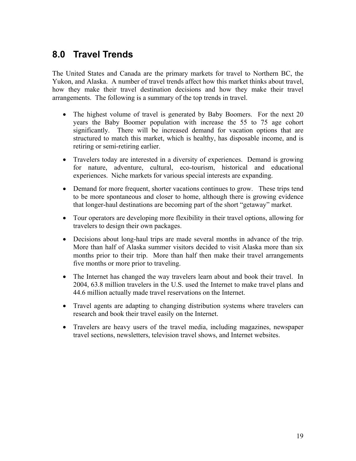# **8.0 Travel Trends**

The United States and Canada are the primary markets for travel to Northern BC, the Yukon, and Alaska. A number of travel trends affect how this market thinks about travel, how they make their travel destination decisions and how they make their travel arrangements. The following is a summary of the top trends in travel.

- The highest volume of travel is generated by Baby Boomers. For the next 20 years the Baby Boomer population with increase the 55 to 75 age cohort significantly. There will be increased demand for vacation options that are structured to match this market, which is healthy, has disposable income, and is retiring or semi-retiring earlier.
- Travelers today are interested in a diversity of experiences. Demand is growing for nature, adventure, cultural, eco-tourism, historical and educational experiences. Niche markets for various special interests are expanding.
- Demand for more frequent, shorter vacations continues to grow. These trips tend to be more spontaneous and closer to home, although there is growing evidence that longer-haul destinations are becoming part of the short "getaway" market.
- Tour operators are developing more flexibility in their travel options, allowing for travelers to design their own packages.
- Decisions about long-haul trips are made several months in advance of the trip. More than half of Alaska summer visitors decided to visit Alaska more than six months prior to their trip. More than half then make their travel arrangements five months or more prior to traveling.
- The Internet has changed the way travelers learn about and book their travel. In 2004, 63.8 million travelers in the U.S. used the Internet to make travel plans and 44.6 million actually made travel reservations on the Internet.
- Travel agents are adapting to changing distribution systems where travelers can research and book their travel easily on the Internet.
- Travelers are heavy users of the travel media, including magazines, newspaper travel sections, newsletters, television travel shows, and Internet websites.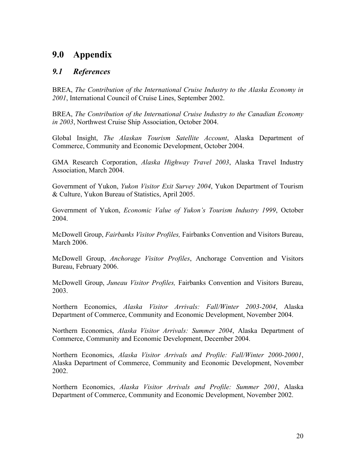## **9.0 Appendix**

#### *9.1 References*

BREA, *The Contribution of the International Cruise Industry to the Alaska Economy in 2001*, International Council of Cruise Lines, September 2002.

BREA, *The Contribution of the International Cruise Industry to the Canadian Economy in 2003*, Northwest Cruise Ship Association, October 2004.

Global Insight, *The Alaskan Tourism Satellite Account*, Alaska Department of Commerce, Community and Economic Development, October 2004.

GMA Research Corporation, *Alaska Highway Travel 2003*, Alaska Travel Industry Association, March 2004.

Government of Yukon, *Yukon Visitor Exit Survey 2004*, Yukon Department of Tourism & Culture, Yukon Bureau of Statistics, April 2005.

Government of Yukon, *Economic Value of Yukon's Tourism Industry 1999*, October 2004.

McDowell Group, *Fairbanks Visitor Profiles,* Fairbanks Convention and Visitors Bureau, March 2006.

McDowell Group, *Anchorage Visitor Profiles*, Anchorage Convention and Visitors Bureau, February 2006.

McDowell Group, *Juneau Visitor Profiles,* Fairbanks Convention and Visitors Bureau, 2003.

Northern Economics, *Alaska Visitor Arrivals: Fall/Winter 2003-2004*, Alaska Department of Commerce, Community and Economic Development, November 2004.

Northern Economics, *Alaska Visitor Arrivals: Summer 2004*, Alaska Department of Commerce, Community and Economic Development, December 2004.

Northern Economics, *Alaska Visitor Arrivals and Profile: Fall/Winter 2000-20001*, Alaska Department of Commerce, Community and Economic Development, November 2002.

Northern Economics, *Alaska Visitor Arrivals and Profile: Summer 2001*, Alaska Department of Commerce, Community and Economic Development, November 2002.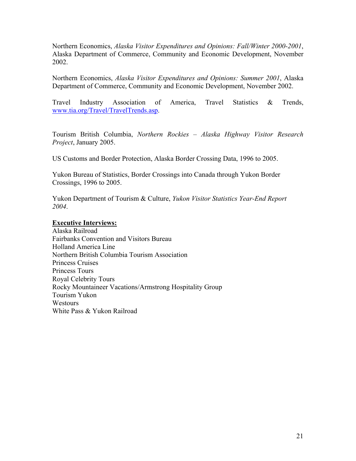Northern Economics, *Alaska Visitor Expenditures and Opinions: Fall/Winter 2000-2001*, Alaska Department of Commerce, Community and Economic Development, November 2002.

Northern Economics, *Alaska Visitor Expenditures and Opinions: Summer 2001*, Alaska Department of Commerce, Community and Economic Development, November 2002.

Travel Industry Association of America, Travel Statistics & Trends, www.tia.org/Travel/TravelTrends.asp.

Tourism British Columbia, *Northern Rockies – Alaska Highway Visitor Research Project*, January 2005.

US Customs and Border Protection, Alaska Border Crossing Data, 1996 to 2005.

Yukon Bureau of Statistics, Border Crossings into Canada through Yukon Border Crossings, 1996 to 2005.

Yukon Department of Tourism & Culture, *Yukon Visitor Statistics Year-End Report 2004*.

#### **Executive Interviews:**

Alaska Railroad Fairbanks Convention and Visitors Bureau Holland America Line Northern British Columbia Tourism Association Princess Cruises Princess Tours Royal Celebrity Tours Rocky Mountaineer Vacations/Armstrong Hospitality Group Tourism Yukon **Westours** White Pass & Yukon Railroad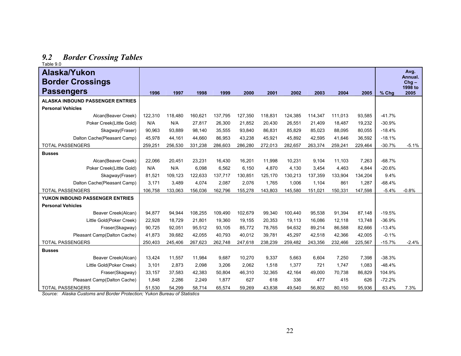# *9.2 Border Crossing Tables*  Table 9.0

| rapie 9.0                               |         |         |         |         |         |         |         |         |         |         |          |                            |
|-----------------------------------------|---------|---------|---------|---------|---------|---------|---------|---------|---------|---------|----------|----------------------------|
| Alaska/Yukon<br><b>Border Crossings</b> |         |         |         |         |         |         |         |         |         |         |          | Avg.<br>Annual.<br>$Chg -$ |
| <b>Passengers</b>                       | 1996    | 1997    | 1998    | 1999    | 2000    | 2001    | 2002    | 2003    | 2004    | 2005    | % Chg    | 1998 to<br>2005            |
| <b>ALASKA INBOUND PASSENGER ENTRIES</b> |         |         |         |         |         |         |         |         |         |         |          |                            |
| <b>Personal Vehicles</b>                |         |         |         |         |         |         |         |         |         |         |          |                            |
| Alcan(Beaver Creek)                     | 122,310 | 118,480 | 160,621 | 137,795 | 127,350 | 118,831 | 124,385 | 114.347 | 111,013 | 93,585  | $-41.7%$ |                            |
| Poker Creek(Little Gold)                | N/A     | N/A     | 27,817  | 26,300  | 21,852  | 20,430  | 26,551  | 21,409  | 18,487  | 19,232  | $-30.9%$ |                            |
| Skagway(Fraser)                         | 90,963  | 93,889  | 98,140  | 35,555  | 93,840  | 86,831  | 85,829  | 85,023  | 88,095  | 80,055  | $-18.4%$ |                            |
| Dalton Cache(Pleasant Camp)             | 45,978  | 44,161  | 44,660  | 86,953  | 43,238  | 45,921  | 45,892  | 42,595  | 41,646  | 36,592  | $-18.1%$ |                            |
| <b>TOTAL PASSENGERS</b>                 | 259,251 | 256,530 | 331,238 | 286,603 | 286,280 | 272,013 | 282,657 | 263,374 | 259,241 | 229,464 | $-30.7%$ | $-5.1%$                    |
| <b>Busses</b>                           |         |         |         |         |         |         |         |         |         |         |          |                            |
| Alcan(Beaver Creek)                     | 22.066  | 20.451  | 23.231  | 16.430  | 16,201  | 11.998  | 10.231  | 9,104   | 11.103  | 7.263   | $-68.7%$ |                            |
| Poker Creek(Little Gold)                | N/A     | N/A     | 6.098   | 6.562   | 6,150   | 4,870   | 4,130   | 3,454   | 4,463   | 4.844   | $-20.6%$ |                            |
| Skagway(Fraser)                         | 81.521  | 109.123 | 122.633 | 137,717 | 130,851 | 125,170 | 130,213 | 137.359 | 133,904 | 134,204 | 9.4%     |                            |
| Dalton Cache(Pleasant Camp)             | 3.171   | 3,489   | 4,074   | 2,087   | 2,076   | 1,765   | 1,006   | 1,104   | 861     | 1.287   | $-68.4%$ |                            |
| <b>TOTAL PASSENGERS</b>                 | 106,758 | 133,063 | 156,036 | 162,796 | 155,278 | 143,803 | 145,580 | 151,021 | 150,331 | 147,598 | $-5.4%$  | $-0.8%$                    |
| YUKON INBOUND PASSENGER ENTRIES         |         |         |         |         |         |         |         |         |         |         |          |                            |
| <b>Personal Vehicles</b>                |         |         |         |         |         |         |         |         |         |         |          |                            |
| Beaver Creek(Alcan)                     | 94,877  | 94,944  | 108,255 | 109,490 | 102,679 | 99,340  | 100,440 | 95,538  | 91,394  | 87,148  | $-19.5%$ |                            |
| Little Gold(Poker Creek)                | 22,928  | 18,729  | 21,801  | 19,360  | 19,155  | 20,353  | 19,113  | 16,086  | 12,118  | 13,748  | $-36.9%$ |                            |
| Fraser(Skagway)                         | 90,725  | 92,051  | 95,512  | 93,105  | 85,772  | 78,765  | 94,632  | 89,214  | 86,588  | 82,666  | $-13.4%$ |                            |
| Pleasant Camp(Dalton Cache)             | 41,873  | 39,682  | 42,055  | 40,793  | 40,012  | 39,781  | 45,297  | 42,518  | 42,366  | 42,005  | $-0.1%$  |                            |
| <b>TOTAL PASSENGERS</b>                 | 250,403 | 245,406 | 267,623 | 262,748 | 247,618 | 238,239 | 259,482 | 243,356 | 232,466 | 225,567 | $-15.7%$ | $-2.4%$                    |
| <b>Busses</b>                           |         |         |         |         |         |         |         |         |         |         |          |                            |
| Beaver Creek(Alcan)                     | 13.424  | 11,557  | 11.984  | 9.687   | 10,270  | 9,337   | 5.663   | 6,604   | 7.250   | 7.398   | $-38.3%$ |                            |
| Little Gold(Poker Creek)                | 3,101   | 2,873   | 2,098   | 3,206   | 2,062   | 1,518   | 1,377   | 721     | 1,747   | 1,083   | $-48.4%$ |                            |
| Fraser(Skagway)                         | 33.157  | 37,583  | 42,383  | 50.804  | 46,310  | 32,365  | 42.164  | 49.000  | 70,738  | 86,829  | 104.9%   |                            |
| Pleasant Camp(Dalton Cache)             | 1.848   | 2.286   | 2,249   | 1.877   | 627     | 618     | 336     | 477     | 415     | 626     | $-72.2%$ |                            |
| <b>TOTAL PASSENGERS</b>                 | 51,530  | 54,299  | 58,714  | 65,574  | 59,269  | 43,838  | 49,540  | 56,802  | 80,150  | 95,936  | 63.4%    | 7.3%                       |

*Source: Alaska Customs and Border Protection; Yukon Bureau of Statistics*